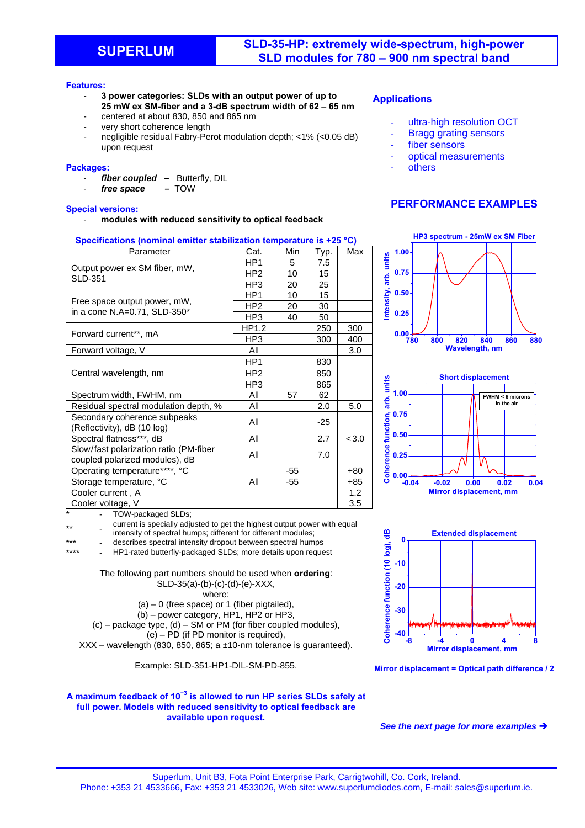### **Features:**

- **3 power categories: SLDs with an output power of up to 25 mW ex SM-fiber and a 3-dB spectrum width of 62 – 65 nm**
- centered at about 830, 850 and 865 nm
- very short coherence length
- negligible residual Fabry-Perot modulation depth; <1% (<0.05 dB) upon request

### **Packages:**

- fiber coupled Butterfly, DIL<br>free space TOW
- free space

### **Special versions:**

- **modules with reduced sensitivity to optical feedback**

## **Specifications (nominal emitter stabilization temperature is +25 °C)**

| Parameter                                                                | Cat.            | Min   | Typ. | Max  |
|--------------------------------------------------------------------------|-----------------|-------|------|------|
| Output power ex SM fiber, mW,<br><b>SLD-351</b>                          | HP1             | 5     | 7.5  |      |
|                                                                          | HP <sub>2</sub> | 10    | 15   |      |
|                                                                          | HP3             | 20    | 25   |      |
| Free space output power, mW,<br>in a cone N.A=0.71, SLD-350*             | HP <sub>1</sub> | 10    | 15   |      |
|                                                                          | HP <sub>2</sub> | 20    | 30   |      |
|                                                                          | HP3             | 40    | 50   |      |
| Forward current**, mA                                                    | HP1,2           |       | 250  | 300  |
|                                                                          | HP3             |       | 300  | 400  |
| Forward voltage, V                                                       | All             |       |      | 3.0  |
| Central wavelength, nm                                                   | HP <sub>1</sub> |       | 830  |      |
|                                                                          | HP <sub>2</sub> |       | 850  |      |
|                                                                          | HP3             |       | 865  |      |
| Spectrum width, FWHM, nm                                                 | All             | 57    | 62   |      |
| Residual spectral modulation depth, %                                    | All             |       | 2.0  | 5.0  |
| Secondary coherence subpeaks<br>(Reflectivity), dB (10 log)              | All             |       | -25  |      |
| Spectral flatness***, dB                                                 | All             |       | 2.7  | <3.0 |
| Slow/fast polarization ratio (PM-fiber<br>coupled polarized modules), dB | All             |       | 7.0  |      |
| Operating temperature****, °C                                            |                 | $-55$ |      | +80  |
| Storage temperature, °C                                                  | All             | -55   |      | +85  |
| Cooler current, A                                                        |                 |       |      | 1.2  |
| Cooler voltage, V                                                        |                 |       |      | 3.5  |

TOW-packaged SLDs;

\*\* current is specially adjusted to get the highest output power with equal intensity of spectral humps; different for different modules;

\*\*\* - describes spectral intensity dropout between spectral humps

HP1-rated butterfly-packaged SLDs; more details upon request

The following part numbers should be used when **ordering**: SLD-35(a)-(b)-(c)-(d)-(e)-XXX, where:

- $(a) 0$  (free space) or 1 (fiber pigtailed),
- (b) power category, HP1, HP2 or HP3,

(c) – package type, (d) – SM or PM (for fiber coupled modules),  $(e)$  – PD (if PD monitor is required).

 $XXX$  – wavelength (830, 850, 865; a  $±10$ -nm tolerance is quaranteed).

Example: SLD-351-HP1-DIL-SM-PD-855.

#### **A maximum feedback of 10<sup>−</sup><sup>3</sup> is allowed to run HP series SLDs safely at full power. Models with reduced sensitivity to optical feedback are available upon request.**

## **Applications**

- ultra-high resolution OCT
- **Bragg grating sensors**
- fiber sensors
- optical measurements
- **others**

## **PERFORMANCE EXAMPLES**









### *See the next page for more examples*